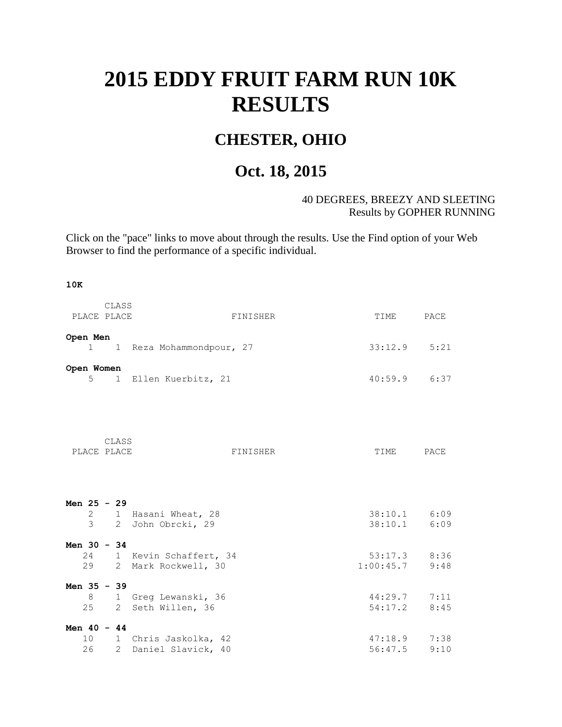## **2015 EDDY FRUIT FARM RUN 10K RESULTS**

## **CHESTER, OHIO**

## **Oct. 18, 2015**

## 40 DEGREES, BREEZY AND SLEETING Results by GOPHER RUNNING

Click on the "pace" links to move about through the results. Use the Find option of your Web Browser to find the performance of a specific individual.

**10K**

| PLACE PLACE              | CLASS | FINISHER                                           | TIME                        | PACE |
|--------------------------|-------|----------------------------------------------------|-----------------------------|------|
| Open Men<br>$\mathbf{1}$ |       | 1 Reza Mohammondpour, 27                           | $33:12.9$ $5:21$            |      |
| Open Women<br>5          |       | 1 Ellen Kuerbitz, 21                               | $40:59.9$ 6:37              |      |
| PLACE PLACE              | CLASS | FINISHER                                           | TIME                        | PACE |
| Men $25 - 29$            |       | 2 1 Hasani Wheat, 28<br>3 2 John Obrcki, 29        | 38:10.1 6:09<br>38:10.1     | 6:09 |
| Men $30 - 34$<br>29      |       | 24 1 Kevin Schaffert, 34<br>2 Mark Rockwell, 30    | $53:17.3$ 8:36<br>1:00:45.7 | 9:48 |
| Men $35 - 39$            |       | 8 1 Greq Lewanski, 36<br>25 2 Seth Willen, 36      | $44:29.7$ $7:11$<br>54:17.2 | 8:45 |
| Men $40 - 44$            |       | 10 1 Chris Jaskolka, 42<br>26 2 Daniel Slavick, 40 | 47:18.9 7:38<br>56:47.5     | 9:10 |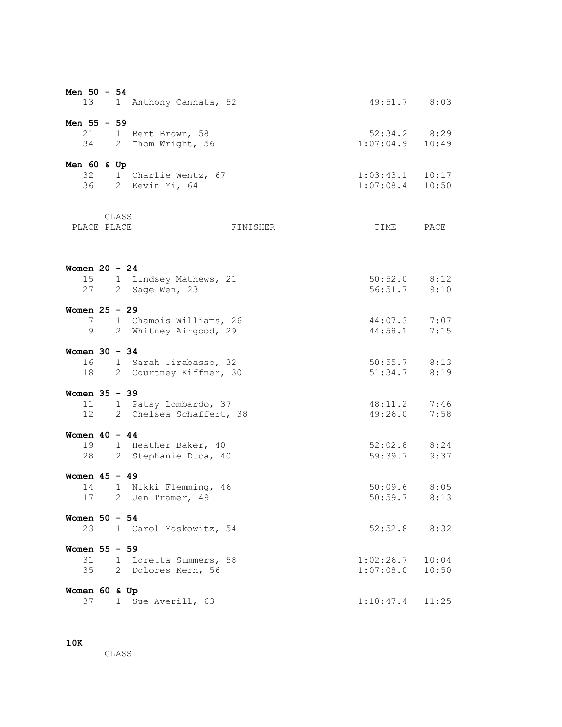| Men 50 - 54     | 13          |   |       | 1 Anthony Cannata, 52                              | 49:51.7 8:03                                                             |                |
|-----------------|-------------|---|-------|----------------------------------------------------|--------------------------------------------------------------------------|----------------|
| Men 55 - 59     |             |   |       |                                                    |                                                                          |                |
|                 | 21          |   |       | 1 Bert Brown, 58                                   | $52:34.2$ 8:29                                                           |                |
|                 |             |   |       | 34 2 Thom Wright, 56                               | $1:07:04.9$ $10:49$                                                      |                |
| Men 60 & Up     |             |   |       |                                                    |                                                                          |                |
|                 |             |   |       | 32 1 Charlie Wentz, 67                             | $\begin{array}{cccc} 1:03:43.1 & 10:17 \\ 1:07:08.4 & 10:50 \end{array}$ |                |
|                 | 36          |   |       | 2 Kevin Yi, 64                                     |                                                                          |                |
|                 |             |   | CLASS |                                                    |                                                                          |                |
|                 | PLACE PLACE |   |       | FINISHER                                           | TIME                                                                     | PACE           |
|                 |             |   |       |                                                    |                                                                          |                |
| Women $20 - 24$ |             |   |       |                                                    |                                                                          |                |
|                 | 15<br>27    |   |       | 1 Lindsey Mathews, 21<br>2 Sage Wen, 23            | $50:52.0$ 8:12<br>$56:51.7$ 9:10                                         |                |
|                 |             |   |       |                                                    |                                                                          |                |
| Women $25 - 29$ |             |   |       |                                                    | $44:07.3$ 7:07                                                           |                |
|                 | 7           | 9 |       | 1 Chamois Williams, 26<br>2 Whitney Airgood, 29    | 44:58.1                                                                  | 7:15           |
|                 |             |   |       |                                                    |                                                                          |                |
| Women $30 - 34$ |             |   |       |                                                    |                                                                          |                |
|                 | 18          |   |       | 16 1 Sarah Tirabasso, 32<br>2 Courtney Kiffner, 30 | $50:55.7$ 8:13<br>$51:34.7$ 8:19                                         |                |
|                 |             |   |       |                                                    |                                                                          |                |
| Women 35 - 39   |             |   |       |                                                    |                                                                          |                |
|                 | 11          |   |       | 1 Patsy Lombardo, 37                               | 48:11.2 7:46                                                             |                |
|                 | 12          |   |       | 2 Chelsea Schaffert, 38                            | 49:26.0                                                                  | 7:58           |
| Women $40 - 44$ |             |   |       |                                                    |                                                                          |                |
|                 | 19          |   |       | 1 Heather Baker, 40                                | 52:02.8 8:24                                                             |                |
|                 | 28          |   |       | 2 Stephanie Duca, 40                               | 59:39.7 9:37                                                             |                |
| Women $45 - 49$ |             |   |       |                                                    |                                                                          |                |
|                 |             |   |       | 14 1 Nikki Flemming, 46                            | $50:09.6$ 8:05                                                           |                |
|                 |             |   |       | 17 2 Jen Tramer, 49                                |                                                                          | $50:59.7$ 8:13 |
| Women $50 - 54$ |             |   |       |                                                    |                                                                          |                |
|                 | 23          |   |       | 1 Carol Moskowitz, 54                              | $52:52.8$ 8:32                                                           |                |
| Women 55 - 59   |             |   |       |                                                    |                                                                          |                |
|                 | 31          |   |       | 1 Loretta Summers, 58                              | $1:02:26.7$ 10:04<br>1:07:08.0                                           |                |
|                 | 35          |   |       | 2 Dolores Kern, 56                                 |                                                                          | 10:50          |
| Women 60 & Up   |             |   |       |                                                    |                                                                          |                |
|                 | 37          |   |       | 1 Sue Averill, 63                                  | 1:10:47.4                                                                | 11:25          |

**10K**

CLASS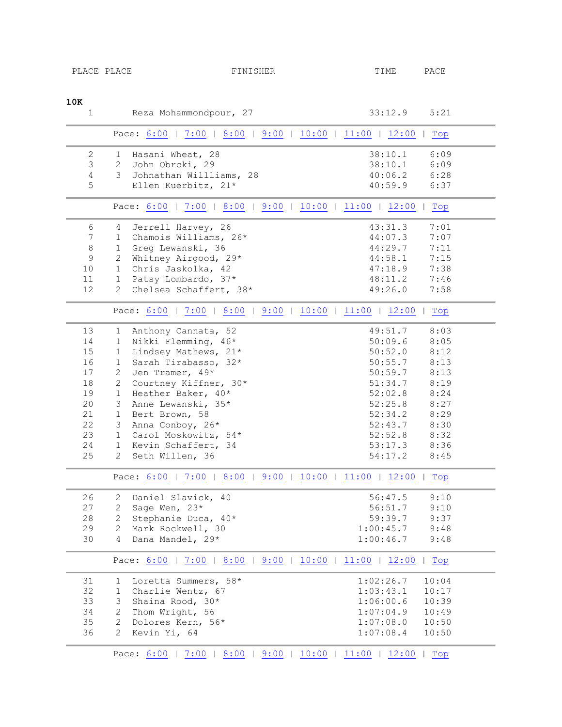<span id="page-2-2"></span><span id="page-2-1"></span><span id="page-2-0"></span>

| PLACE PLACE                                                   |                | FINISHER                                                      | TIME               | PACE         |  |  |
|---------------------------------------------------------------|----------------|---------------------------------------------------------------|--------------------|--------------|--|--|
|                                                               |                |                                                               |                    |              |  |  |
|                                                               |                |                                                               |                    |              |  |  |
| 10K                                                           |                |                                                               |                    |              |  |  |
| $\mathbf{1}$                                                  |                | Reza Mohammondpour, 27                                        | 33:12.9            | 5:21         |  |  |
|                                                               |                | Pace: 6:00   7:00   8:00   9:00   10:00   11:00   12:00   Top |                    |              |  |  |
|                                                               |                |                                                               |                    |              |  |  |
| $\overline{c}$<br>$\mathfrak{Z}$                              | $\overline{2}$ | 1 Hasani Wheat, 28<br>John Obrcki, 29                         | 38:10.1<br>38:10.1 | 6:09<br>6:09 |  |  |
|                                                               | $\mathcal{E}$  |                                                               |                    |              |  |  |
| $\overline{4}$                                                |                | Johnathan Willliams, 28                                       | 40:06.2            | 6:28         |  |  |
| 5                                                             |                | Ellen Kuerbitz, 21*                                           | 40:59.9            | 6:37         |  |  |
|                                                               |                | Pace: 6:00   7:00   8:00   9:00   10:00   11:00   12:00       |                    | Top          |  |  |
| 6                                                             | 4              | Jerrell Harvey, 26                                            | 43:31.3            | 7:01         |  |  |
| 7                                                             | 1              | Chamois Williams, 26*                                         | 44:07.3            | 7:07         |  |  |
| $\,8\,$                                                       | 1              | Greg Lewanski, 36                                             | 44:29.7            | 7:11         |  |  |
| $\overline{9}$                                                | $\overline{2}$ | Whitney Airgood, 29*                                          | 44:58.1            | 7:15         |  |  |
| 10                                                            | $\mathbf{1}$   | Chris Jaskolka, 42                                            | 47:18.9            | 7:38         |  |  |
| 11                                                            | 1              | Patsy Lombardo, 37*                                           | 48:11.2            | 7:46         |  |  |
| 12                                                            | $\mathbf{2}$   | Chelsea Schaffert, 38*                                        | 49:26.0            | 7:58         |  |  |
|                                                               |                |                                                               |                    |              |  |  |
|                                                               |                | Pace: 6:00   7:00   8:00   9:00   10:00   11:00   12:00   Top |                    |              |  |  |
| 13                                                            | 1              | Anthony Cannata, 52                                           | 49:51.7            | 8:03         |  |  |
| 14                                                            | $\mathbf{1}$   | Nikki Flemming, 46*                                           | 50:09.6            | 8:05         |  |  |
| 15                                                            | $\mathbf{1}$   | Lindsey Mathews, 21*                                          | 50:52.0            | 8:12         |  |  |
| 16                                                            | $\mathbf{1}$   | Sarah Tirabasso, 32*                                          | 50:55.7            | 8:13         |  |  |
| 17                                                            | $\overline{2}$ | Jen Tramer, 49*                                               | 50:59.7            | 8:13         |  |  |
| 18                                                            | $\mathbf{2}$   | Courtney Kiffner, 30*                                         | 51:34.7            | 8:19         |  |  |
| 19                                                            | $\mathbf{1}$   | Heather Baker, 40*                                            | 52:02.8            | 8:24         |  |  |
| 20                                                            | 3              | Anne Lewanski, 35*                                            | 52:25.8            | 8:27         |  |  |
| 21                                                            | $\mathbf{1}$   | Bert Brown, 58                                                | 52:34.2            | 8:29         |  |  |
| 22                                                            | 3 <sup>7</sup> | Anna Conboy, 26*                                              | 52:43.7            | 8:30         |  |  |
| 23                                                            | 1              | Carol Moskowitz, 54*                                          | 52:52.8            | 8:32         |  |  |
| 24                                                            | $1 \quad$      | Kevin Schaffert, 34                                           | 53:17.3            | 8:36         |  |  |
| 25                                                            | $\mathbf{2}$   | Seth Willen, 36                                               | 54:17.2            | 8:45         |  |  |
|                                                               |                |                                                               |                    |              |  |  |
| Pace: 6:00   7:00   8:00   9:00   10:00   11:00   12:00   Top |                |                                                               |                    |              |  |  |
| 26                                                            | $\mathbf{2}$   | Daniel Slavick, 40                                            | 56:47.5            | 9:10         |  |  |
| 27                                                            | $\mathbf{2}$   | Sage Wen, 23*                                                 | 56:51.7            | 9:10         |  |  |
| 28                                                            | $\mathbf{2}$   | Stephanie Duca, 40*                                           | 59:39.7            | 9:37         |  |  |
| 29                                                            | $\overline{2}$ | Mark Rockwell, 30                                             | 1:00:45.7          | 9:48         |  |  |
| 30                                                            | 4              | Dana Mandel, 29*                                              | 1:00:46.7          | 9:48         |  |  |
|                                                               |                | Pace: 6:00   7:00   8:00   9:00   10:00   11:00   12:00       |                    | Top          |  |  |
| 31                                                            | $\mathbf{1}$   | Loretta Summers, 58*                                          | 1:02:26.7          | 10:04        |  |  |
| 32                                                            | $\mathbf{1}$   | Charlie Wentz, 67                                             | 1:03:43.1          | 10:17        |  |  |
| 33                                                            | 3              | Shaina Rood, 30*                                              | 1:06:00.6          | 10:39        |  |  |
| 34                                                            | $\mathbf{2}$   | Thom Wright, 56                                               | 1:07:04.9          | 10:49        |  |  |
| 35                                                            | $\overline{2}$ | Dolores Kern, 56*                                             | 1:07:08.0          | 10:50        |  |  |
| 36                                                            | $\overline{2}$ | Kevin Yi, 64                                                  | 1:07:08.4          | 10:50        |  |  |
|                                                               |                |                                                               |                    |              |  |  |

<span id="page-2-5"></span><span id="page-2-4"></span><span id="page-2-3"></span>Pace:  $\underline{6:00}$  | [7:00](#page-2-1) | [8:00](#page-2-2) | [9:00](#page-2-3) | [10:00](#page-2-4) | [11:00](#page-2-5) | [12:00](#page-3-0) | Top